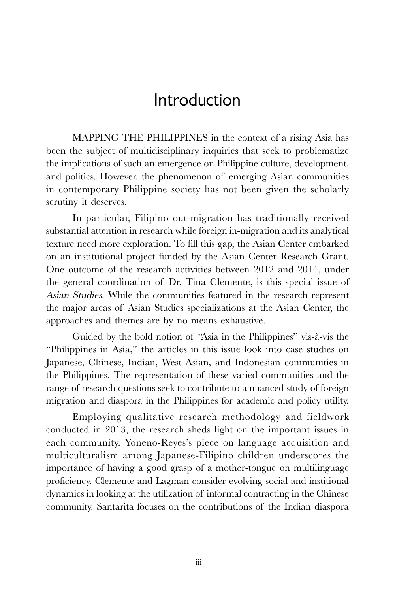## Introduction

MAPPING THE PHILIPPINES in the context of a rising Asia has been the subject of multidisciplinary inquiries that seek to problematize the implications of such an emergence on Philippine culture, development, and politics. However, the phenomenon of emerging Asian communities in contemporary Philippine society has not been given the scholarly scrutiny it deserves.

In particular, Filipino out-migration has traditionally received substantial attention in research while foreign in-migration and its analytical texture need more exploration. To fill this gap, the Asian Center embarked on an institutional project funded by the Asian Center Research Grant. One outcome of the research activities between 2012 and 2014, under the general coordination of Dr. Tina Clemente, is this special issue of Asian Studies. While the communities featured in the research represent the major areas of Asian Studies specializations at the Asian Center, the approaches and themes are by no means exhaustive.

Guided by the bold notion of "Asia in the Philippines" vis-à-vis the "Philippines in Asia," the articles in this issue look into case studies on Japanese, Chinese, Indian, West Asian, and Indonesian communities in the Philippines. The representation of these varied communities and the range of research questions seek to contribute to a nuanced study of foreign migration and diaspora in the Philippines for academic and policy utility.

Employing qualitative research methodology and fieldwork conducted in 2013, the research sheds light on the important issues in each community. Yoneno-Reyes's piece on language acquisition and multiculturalism among Japanese-Filipino children underscores the importance of having a good grasp of a mother-tongue on multilinguage proficiency. Clemente and Lagman consider evolving social and institional dynamics in looking at the utilization of informal contracting in the Chinese community. Santarita focuses on the contributions of the Indian diaspora